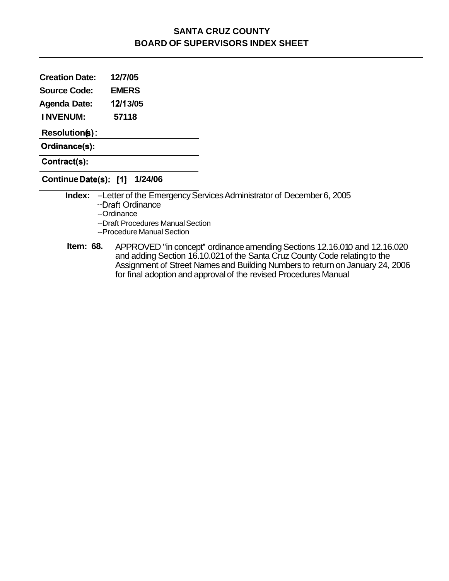### **SANTA CRUZ COUNTY BOARD OF SUPERVISORS INDEX SHEET**

**Creation Date: 12/7/05** 

**Source Code: EMERS** 

**Agenda Date: 4211 3/05** 

**I NVENUM: 57118** 

**Resolution(s):** 

**Ordinance(s):** 

**Contract(s):** 

**Continue Date(s): [I] 1/24/06** 

**Index:** --Letter of the Emergency Services Administrator of December 6, 2005 --Draft Ordinance --Ordinance --Draft Procedures Manual Section --Procedure Manual Section

**Item: 68.** APPROVED "in concept" ordinance amending Sections 12.16.010 and 12.16.020 and adding Section 16.10.021 of the Santa Cruz County Code relating to the Assignment of Street Names and Building Numbers to return on January 24, 2006 for final adoption and approval of the revised Procedures Manual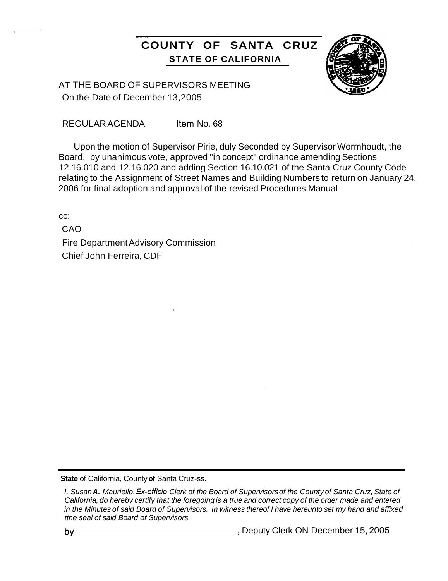### **COUNTY OF SANTA CRUZ STATE OF CALIFORNIA**



AT THE BOARD OF SUPERVISORS MEETING On the Date of December 13,2005

~~ ~ ~~~

REGULAR AGENDA Item No. 68

Upon the motion of Supervisor Pirie, duly Seconded by Supervisor Wormhoudt, the Board, by unanimous vote, approved "in concept" ordinance amending Sections 12.16.010 and 12.16.020 and adding Section 16.10.021 of the Santa Cruz County Code relating to the Assignment of Street Names and Building Numbers to return on January 24, 2006 for final adoption and approval of the revised Procedures Manual

cc:

CAO Fire Department Advisory Commission Chief John Ferreira, CDF

**State** of California, County **of** Santa Cruz-ss.

by , Deputy Clerk ON December 15, **2005** 

*I, Susan A. Mauriello, Ex-officio Clerk of the Board of Supervisors of the County of Santa Cruz, State of California, do hereby certify that the foregoing is a true and correct copy of the order made and entered in the Minutes of said Board of Supervisors. In witness thereof I have hereunto set my hand and affixed tthe seal of said Board of Supervisors.*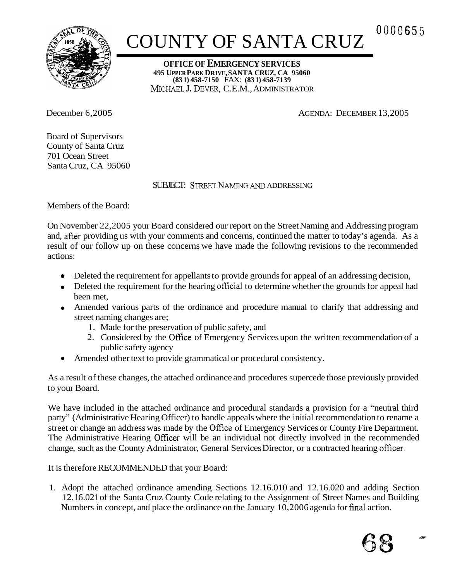

# COUNTY OF SANTA CRUZ<sup>0000655</sup>

**OFFICE OF EMERGENCY SERVICES 495 UPPER PARK DRIVE, SANTA CRUZ, CA 95060**  MCHAEL **J.** DEVER, C.E.M., ADMINISTRATOR **(83 1) 458-7150** FAX: **(83 1) 458-7139** 

December 6,2005 AGENDA: DECEMBER 13,2005

Board of Supervisors County of Santa Cruz 701 Ocean Street Santa Cruz, CA 95060

SUBJECT: STREETNAMING *AND* ADDRESSING

Members of the Board:

On November 22,2005 your Board considered our report on the Street Naming and Addressing program and, after providing us with your comments and concerns, continued the matter to today's agenda. As a result of our follow up on these concerns we have made the following revisions to the recommended actions:

- Deleted the requirement for appellants to provide grounds for appeal of an addressing decision,
- Deleted the requirement for the hearing official to determine whether the grounds for appeal had been met,
- Amended various parts of the ordinance and procedure manual to clarify that addressing and street naming changes are;
	- 1. Made for the preservation of public safety, and
	- 2. Considered by the Ofice of Emergency Services upon the written recommendation of a public safety agency
- Amended other text to provide grammatical or procedural consistency.

As a result of these changes, the attached ordinance and procedures supercede those previously provided to your Board.

We have included in the attached ordinance and procedural standards a provision for a "neutral third party" (Administrative Hearing Officer) to handle appeals where the initial recommendation to rename a street or change an address was made by the Ofice of Emergency Services or County Fire Department. The Administrative Hearing Officer will be an individual not directly involved in the recommended change, such as the County Administrator, General Services Director, or a contracted hearing officer.

It is therefore RECOMMENDED that your Board:

1. Adopt the attached ordinance amending Sections 12.16.010 and 12.16.020 and adding Section 12.16.021 of the Santa Cruz County Code relating to the Assignment of Street Names and Building Numbers in concept, and place the ordinance on the January 10,2006 agenda for final action.

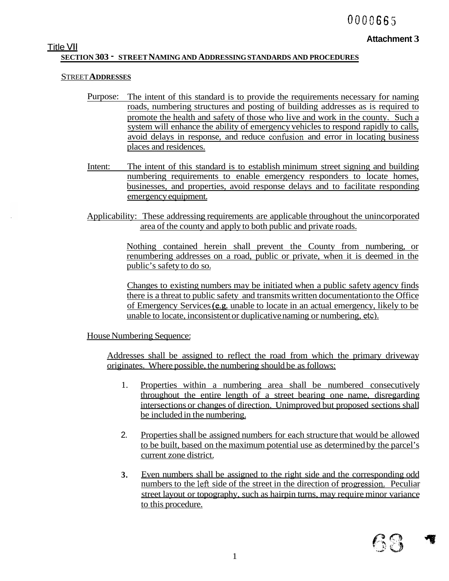**Attachment 3** 

### Title **VI1 SECTION 303** - **STREET NAMING AND ADDRESSING STANDARDS AND PROCEDURES**

### STREET **ADDRESSES**

- Purpose: The intent of this standard is to provide the requirements necessary for naming roads, numbering structures and posting of building addresses as is required to promote the health and safety of those who live and work in the county. Such a system will enhance the ability of emergency vehicles to respond rapidly to calls, avoid delays in response, and reduce confusion and error in locating business places and residences.
- Intent: The intent of this standard is to establish minimum street signing and building numbering requirements to enable emergency responders to locate homes, businesses, and properties, avoid response delays and to facilitate responding emergency equipment.

Applicability: These addressing requirements are applicable throughout the unincorporated area of the county and apply to both public and private roads.

> Nothing contained herein shall prevent the County from numbering, or renumbering addresses on a road, public or private, when it is deemed in the public's safety to do so.

> Changes to existing numbers may be initiated when a public safety agency finds there is a threat to public safety and transmits written documentation to the Office of Emergency Services (e.g. unable to locate in an actual emergency, likely to be unable to locate, inconsistent or duplicative naming or numbering, etc).

House Numbering Sequence:

Addresses shall be assigned to reflect the road from which the primary driveway originates. Where possible, the numbering should be as follows:

- 1. Properties within a numbering area shall be numbered consecutively throughout the entire length of a street bearing one name, disregarding intersections or changes of direction. Unimproved but proposed sections shall be included in the numbering.
- 2. Properties shall be assigned numbers for each structure that would be allowed to be built, based on the maximum potential use as determined by the parcel's current zone district.
- **3.**  Even numbers shall be assigned to the right side and the corresponding odd numbers to the left side of the street in the direction of progression. Peculiar street layout or topography, such as hairpin turns, may require minor variance to this procedure.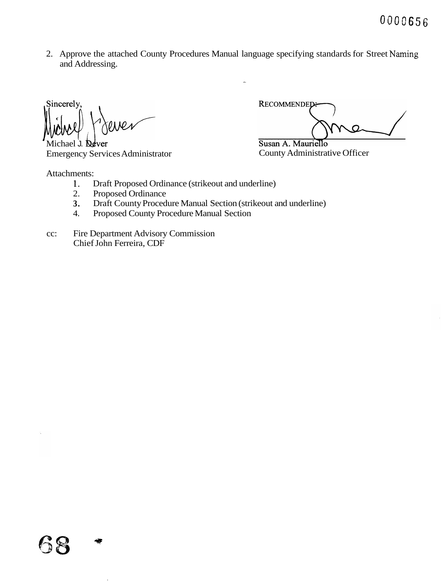0000656

2. Approve the attached County Procedures Manual language specifying standards for Street Naming and Addressing.

Sincerely,

Michael J. **De**ver Emergency Services Administrator County Administrative Officer

Attachments:

RECOMMENDED  $\Omega$ 

Susan A. Mauriello

- 1. Draft Proposed Ordinance (strikeout and underline)
- 2. Proposed Ordinance
- **3.**  Draft County Procedure Manual Section (strikeout and underline)
- 4. Proposed County Procedure Manual Section
- cc: Fire Department Advisory Commission Chief John Ferreira, CDF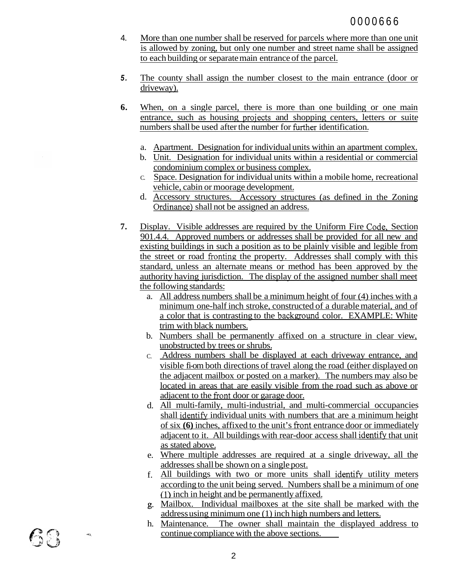- 4. More than one number shall be reserved for parcels where more than one unit is allowed by zoning, but only one number and street name shall be assigned to each building or separate main entrance of the parcel.
- *5.*  The county shall assign the number closest to the main entrance (door or driveway).
- **6.**  When, on a single parcel, there is more than one building or one main entrance, such as housing projects and shopping centers, letters or suite numbers shall be used after the number for further identification.
	- a. Apartment. Designation for individual units within an apartment complex.
	- b. Unit. Designation for individual units within a residential or commercial condominium complex or business complex.
	- C. Space. Designation for individual units within a mobile home, recreational vehicle, cabin or moorage development.
	- d. Accessory structures. Accessory structures (as defined in the Zoning Ordinance) shall not be assigned an address.
- **7.**  Display. Visible addresses are required by the Uniform Fire Code, Section 901.4.4. Approved numbers or addresses shall be provided for all new and existing buildings in such a position as to be plainly visible and legible from the street or road fionting the property. Addresses shall comply with this standard, unless an alternate means or method has been approved by the authority having jurisdiction. The display of the assigned number shall meet the following standards:
	- a. All address numbers shall be a minimum height of four (4) inches with a minimum one-half inch stroke, constructed of a durable material, and of a color that is contrasting to the background color. EXAMPLE: White trim with black numbers.
	- b. Numbers shall be permanently affixed on a structure in clear view, unobstructed by trees or shrubs.
	- C. Address numbers shall be displayed at each driveway entrance, and visible fi-om both directions of travel along the road (either displayed on the adjacent mailbox or posted on a marker). The numbers may also be located in areas that are easily visible from the road such as above or adjacent to the front door or garage door.
	- d. All multi-family, multi-industrial, and multi-commercial occupancies shall identifv individual units with numbers that are a minimum height of six **(6)** inches, affixed to the unit's fiont entrance door or immediately adjacent to it. All buildings with rear-door access shall identify that unit as stated above.
	- e. Where multiple addresses are required at a single driveway, all the addresses shall be shown on a single post.
	- f. All buildings with two or more units shall identify utility meters according to the unit being served. Numbers shall be a minimum of one **(1** ) inch in height and be permanently affixed.
	- **g.**  Mailbox. Individual mailboxes at the site shall be marked with the address using minimum one (1) inch high numbers and letters.
	- h. Maintenance. The owner shall maintain the displayed address to continue compliance with the above sections.

 $\mathcal{C}(\Omega)$ 

 $\partial \bar{g}_i$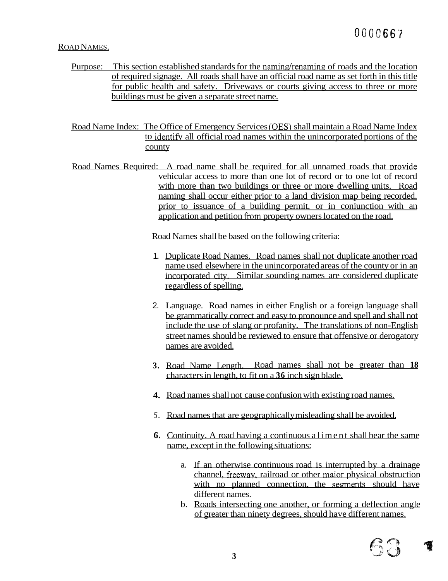## OOOC66'7

### ROAD NAMES.

Purpose: This section established standards for the naming/renaming of roads and the location of required signage. All roads shall have an official road name as set forth in this title for public health and safety. Driveways or courts giving access to three or more buildings must be given a separate street name.

Road Name Index: The Office of Emergency Services (OES) shall maintain a Road Name Index to identifi all official road names within the unincorporated portions of the county

Road Names Required: A road name shall be required for all unnamed roads that provide vehicular access to more than one lot of record or to one lot of record with more than two buildings or three or more dwelling units. Road naming shall occur either prior to a land division map being recorded, prior to issuance of a building permit, or in coniunction with an application and petition from property owners located on the road.

Road Names shall be based on the following criteria:

- 1. Duplicate Road Names. Road names shall not duplicate another road name used elsewhere in the unincorporated areas of the county or in an incorporated city. Similar sounding names are considered duplicate regardless of spelling.
- 2. Language. Road names in either English or a foreign language shall be grammatically correct and easy to pronounce and spell and shall not include the use of slang or profanity. The translations of non-English street names should be reviewed to ensure that offensive or derogatory names are avoided.
- **3.**  Road Name Length. Road names shall not be greater than **18**  characters in length, to fit on a **36** inch sign blade.
- **4.**  Road names shall not cause confusion with existing road names.
- *5.*  Road names that are geographically misleading shall be avoided.
- **6.**  Continuity. A road having a continuous aliment shall bear the same name, except in the following situations:
	- a. If an otherwise continuous road is interrupted by a drainage channel, fieeway, railroad or other maior physical obstruction with no planned connection, the segments should have different names.
	- b. Roads intersecting one another, or forming a deflection angle of greater than ninety degrees, should have different names.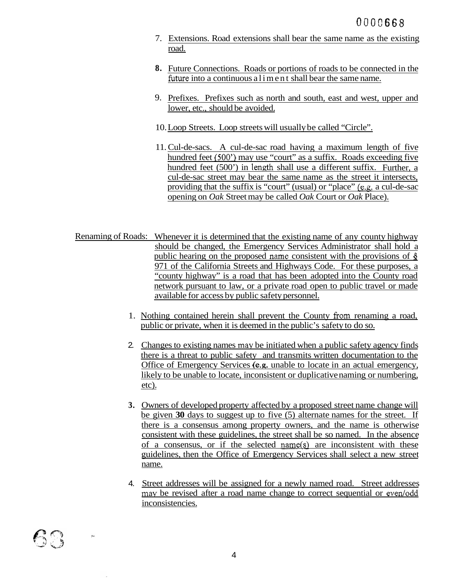- 7. Extensions. Road extensions shall bear the same name as the existing road.
- **8.**  Future Connections. Roads or portions of roads to be connected in the future into a continuous aliment shall bear the same name.
- 9. Prefixes. Prefixes such as north and south, east and west, upper and lower, etc., should be avoided.
- 10. Loop Streets. Loop streets will usually be called "Circle".
- 11. Cul-de-sacs. A cul-de-sac road having a maximum length of five hundred feet *(500')* may use "court" as a suffix. Roads exceeding five hundred feet (500') in length shall use a different suffix. Further, a cul-de-sac street may bear the same name as the street it intersects, providing that the suffix is "court" (usual) or "place" (e.g. a cul-de-sac opening on *Oak* Street may be called *Oak* Court or *Oak* Place).
- Renaming of Roads: Whenever it is determined that the existing name of any county highway should be changed, the Emergency Services Administrator shall hold a public hearing on the proposed name consistent with the provisions of  $\S$ 971 of the California Streets and Highways Code. For these purposes, a "county highway" is a road that has been adopted into the County road network pursuant to law, or a private road open to public travel or made available for access by public safety personnel.
	- 1. Nothing contained herein shall prevent the County fiom renaming a road, public or private, when it is deemed in the public's safety to do so.
	- 2. Changes to existing names may be initiated when a public safety agency finds there is a threat to public safety and transmits written documentation to the Office of Emergency Services (e.g. unable to locate in an actual emergency, likely to be unable to locate, inconsistent or duplicative naming or numbering, etc).
	- **3.**  Owners of developed property affected by a proposed street name change will be given **30** days to suggest up to five (5) alternate names for the street. If there is a consensus among property owners, and the name is otherwise consistent with these guidelines, the street shall be so named. In the absence of a consensus, or if the selected name(s) are inconsistent with these guidelines, then the Office of Emergency Services shall select a new street name.
	- 4. Street addresses will be assigned for a newly named road. Street addresses may be revised after a road name change to correct sequential or even/odd inconsistencies.

 $\hat{c}$  .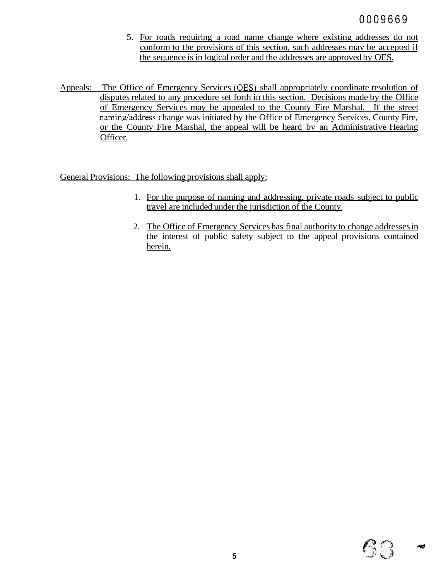- 5. For roads requiring a road name change where existing addresses do not conform to the provisions of this section, such addresses may be accepted if the sequence is in logical order and the addresses are approved by OES.
- Appeals: The Office of Emergency Services (OES) shall appropriately coordinate resolution of disputes related to any procedure set forth in this section. Decisions made by the Office of Emergency Services may be appealed to the County Fire Marshal. If the street naming/address change was initiated by the Office of Emergency Services, County Fire, or the County Fire Marshal, the appeal will be heard by an Administrative Hearing Officer.

General Provisions: The following provisions shall apply:

- 1. For the purpose of naming and addressing, private roads subject to public travel are included under the jurisdiction of the County.
- 2. The Office of Emergency Services has final authority to change addresses in the interest of public safety subject to the appeal provisions contained herein.

大震災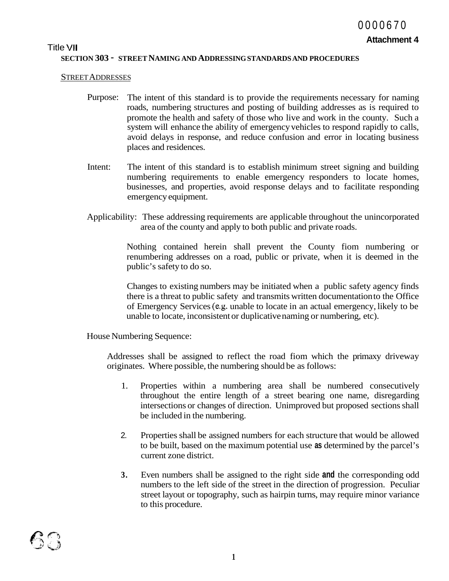### Title **VI1 SECTION 303** - **STREET NAMING AND ADDRESSING STANDARDS AND PROCEDURES**

### STREET ADDRESSES

- Purpose: The intent of this standard is to provide the requirements necessary for naming roads, numbering structures and posting of building addresses as is required to promote the health and safety of those who live and work in the county. Such a system will enhance the ability of emergency vehicles to respond rapidly to calls, avoid delays in response, and reduce confusion and error in locating business places and residences.
- Intent: The intent of this standard is to establish minimum street signing and building numbering requirements to enable emergency responders to locate homes, businesses, and properties, avoid response delays and to facilitate responding emergency equipment.
- Applicability: These addressing requirements are applicable throughout the unincorporated area of the county and apply to both public and private roads.

Nothing contained herein shall prevent the County fiom numbering or renumbering addresses on a road, public or private, when it is deemed in the public's safety to do so.

Changes to existing numbers may be initiated when a public safety agency finds there is a threat to public safety and transmits written documentation to the Office of Emergency Services (e.g. unable to locate in an actual emergency, likely to be unable to locate, inconsistent or duplicative naming or numbering, etc).

House Numbering Sequence:

Addresses shall be assigned to reflect the road fiom which the primaxy driveway originates. Where possible, the numbering should be as follows:

- 1. Properties within a numbering area shall be numbered consecutively throughout the entire length of a street bearing one name, disregarding intersections or changes of direction. Unimproved but proposed sections shall be included in the numbering.
- 2. Properties shall be assigned numbers for each structure that would be allowed to be built, based on the maximum potential use **as** determined by the parcel's current zone district.
- **3.** Even numbers shall be assigned to the right side **and** the corresponding odd numbers to the left side of the street in the direction of progression. Peculiar street layout or topography, such as hairpin turns, may require minor variance to this procedure.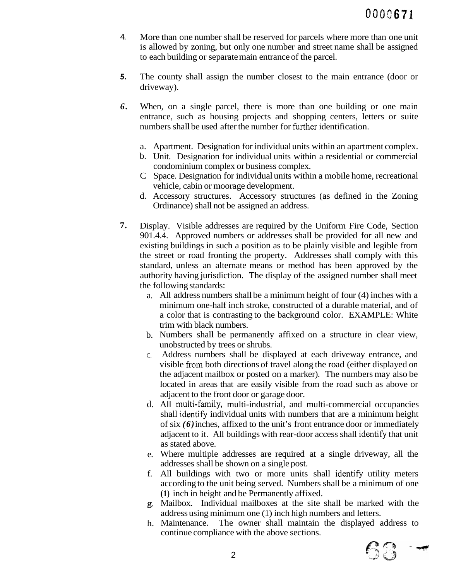- 4. More than one number shall be reserved for parcels where more than one unit is allowed by zoning, but only one number and street name shall be assigned to each building or separate main entrance of the parcel.
- *5.*  The county shall assign the number closest to the main entrance (door or driveway).
- *6.*  When, on a single parcel, there is more than one building or one main entrance, such as housing projects and shopping centers, letters or suite numbers shall be used after the number for further identification.
	- a. Apartment. Designation for individual units within an apartment complex.
	- b. Unit. Designation for individual units within a residential or commercial condominium complex or business complex.
	- C. Space. Designation for individual units within a mobile home, recreational vehicle, cabin or moorage development.
	- d. Accessory structures. Accessory structures (as defined in the Zoning Ordinance) shall not be assigned an address.
- **7.**  Display. Visible addresses are required by the Uniform Fire Code, Section 901.4.4. Approved numbers or addresses shall be provided for all new and existing buildings in such a position as to be plainly visible and legible from the street or road fronting the property. Addresses shall comply with this standard, unless an alternate means or method has been approved by the authority having jurisdiction. The display of the assigned number shall meet the following standards:
	- a. All address numbers shall be a minimum height of four (4) inches with a minimum one-half inch stroke, constructed of a durable material, and of a color that is contrasting to the background color. EXAMPLE: White trim with black numbers.
	- b. Numbers shall be permanently affixed on a structure in clear view, unobstructed by trees or shrubs.
	- C. Address numbers shall be displayed at each driveway entrance, and visible from both directions of travel along the road (either displayed on the adjacent mailbox or posted on a marker). The numbers may also be located in areas that are easily visible from the road such as above or adjacent to the front door or garage door.
	- d. All multi-family, multi-industrial, and multi-commercial occupancies shall identify individual units with numbers that are a minimum height of six *(6)* inches, affixed to the unit's front entrance door or immediately adjacent to it. All buildings with rear-door access shall identify that unit as stated above.
	- e. Where multiple addresses are required at a single driveway, all the addresses shall be shown on a single post.
	- f. All buildings with two or more units shall identify utility meters according to the unit being served. Numbers shall be a minimum of one **(1)** inch in height and be Permanently affixed.
	- *g.*  Mailbox. Individual mailboxes at the site shall be marked with the address using minimum one (1) inch high numbers and letters.
	- h. Maintenance. The owner shall maintain the displayed address to continue compliance with the above sections.

63 —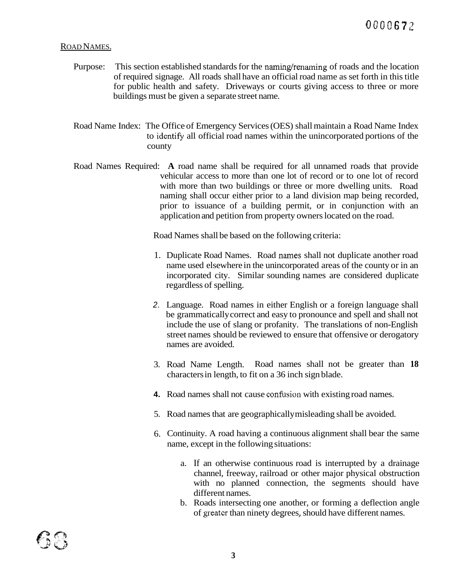### ROAD NAMES.

- Purpose: This section established standards for the naming/renaming of roads and the location of required signage. All roads shall have an official road name as set forth in this title for public health and safety. Driveways or courts giving access to three or more buildings must be given a separate street name.
- Road Name Index: The Office of Emergency Services (OES) shall maintain a Road Name Index to identify all official road names within the unincorporated portions of the county
- Road Names Required: **A** road name shall be required for all unnamed roads that provide vehicular access to more than one lot of record or to one lot of record with more than two buildings or three or more dwelling units. Road naming shall occur either prior to a land division map being recorded, prior to issuance of a building permit, or in conjunction with an application and petition from property owners located on the road.

Road Names shall be based on the following criteria:

- 1. Duplicate Road Names. Road names shall not duplicate another road name used elsewhere in the unincorporated areas of the county or in an incorporated city. Similar sounding names are considered duplicate regardless of spelling.
- *2.*  Language. Road names in either English or a foreign language shall be grammatically correct and easy to pronounce and spell and shall not include the use of slang or profanity. The translations of non-English street names should be reviewed to ensure that offensive or derogatory names are avoided.
- 3. Road Name Length. Road names shall not be greater than **18**  characters in length, to fit on a 36 inch sign blade.
- 4. Road names shall not cause confusion with existing road names.
- 5. Road names that are geographically misleading shall be avoided.
- 6. Continuity. A road having a continuous alignment shall bear the same name, except in the following situations:
	- a. If an otherwise continuous road is interrupted by a drainage channel, freeway, railroad or other major physical obstruction with no planned connection, the segments should have different names.
	- b. Roads intersecting one another, or forming a deflection angle of greater than ninety degrees, should have different names.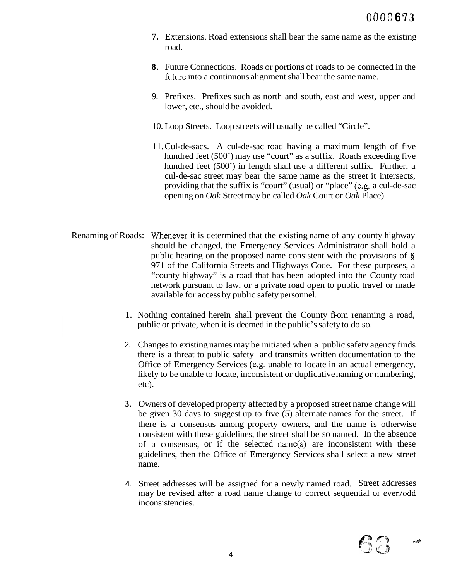- **7.** Extensions. Road extensions shall bear the same name as the existing road.
- **8.** Future Connections. Roads or portions of roads to be connected in the future into a continuous alignment shall bear the same name.
- 9. Prefixes. Prefixes such as north and south, east and west, upper and lower, etc., should be avoided.
- 10. Loop Streets. Loop streets will usually be called "Circle".
- 11. Cul-de-sacs. A cul-de-sac road having a maximum length of five hundred feet (500') may use "court" as a suffix. Roads exceeding five hundred feet (500') in length shall use a different suffix. Further, a cul-de-sac street may bear the same name as the street it intersects, providing that the suffix is "court" (usual) or "place" (e.g. a cul-de-sac opening on *Oak* Street may be called *Oak* Court or *Oak* Place).
- Renaming of Roads: Whenever it is determined that the existing name of any county highway should be changed, the Emergency Services Administrator shall hold a public hearing on the proposed name consistent with the provisions of  $\hat{\mathbf{S}}$ 971 of the California Streets and Highways Code. For these purposes, a "county highway" is a road that has been adopted into the County road network pursuant to law, or a private road open to public travel or made available for access by public safety personnel.
	- 1. Nothing contained herein shall prevent the County fi-om renaming a road, public or private, when it is deemed in the public's safety to do so.
	- 2. Changes to existing names may be initiated when a public safety agency finds there is a threat to public safety and transmits written documentation to the Office of Emergency Services (e.g. unable to locate in an actual emergency, likely to be unable to locate, inconsistent or duplicative naming or numbering, etc).
	- **3.**  Owners of developed property affected by a proposed street name change will be given 30 days to suggest up to five (5) alternate names for the street. If there is a consensus among property owners, and the name is otherwise consistent with these guidelines, the street shall be so named. In the absence of a consensus, or if the selected name(s) are inconsistent with these guidelines, then the Office of Emergency Services shall select a new street name.
	- 4. Street addresses will be assigned for a newly named road. Street addresses may be revised after a road name change to correct sequential or even/odd inconsistencies.



 $-10<sup>2</sup>$